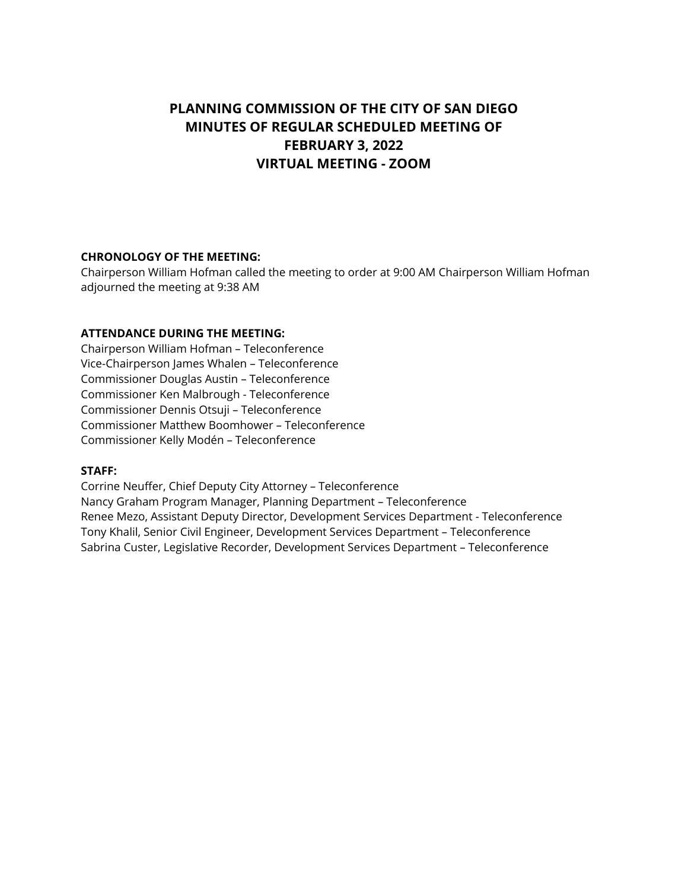# **PLANNING COMMISSION OF THE CITY OF SAN DIEGO MINUTES OF REGULAR SCHEDULED MEETING OF FEBRUARY 3, 2022 VIRTUAL MEETING - ZOOM**

## **CHRONOLOGY OF THE MEETING:**

Chairperson William Hofman called the meeting to order at 9:00 AM Chairperson William Hofman adjourned the meeting at 9:38 AM

## **ATTENDANCE DURING THE MEETING:**

Chairperson William Hofman – Teleconference Vice-Chairperson James Whalen – Teleconference Commissioner Douglas Austin – Teleconference Commissioner Ken Malbrough - Teleconference Commissioner Dennis Otsuji – Teleconference Commissioner Matthew Boomhower – Teleconference Commissioner Kelly Modén – Teleconference

## **STAFF:**

Corrine Neuffer, Chief Deputy City Attorney – Teleconference Nancy Graham Program Manager, Planning Department – Teleconference Renee Mezo, Assistant Deputy Director, Development Services Department - Teleconference Tony Khalil, Senior Civil Engineer, Development Services Department – Teleconference Sabrina Custer, Legislative Recorder, Development Services Department – Teleconference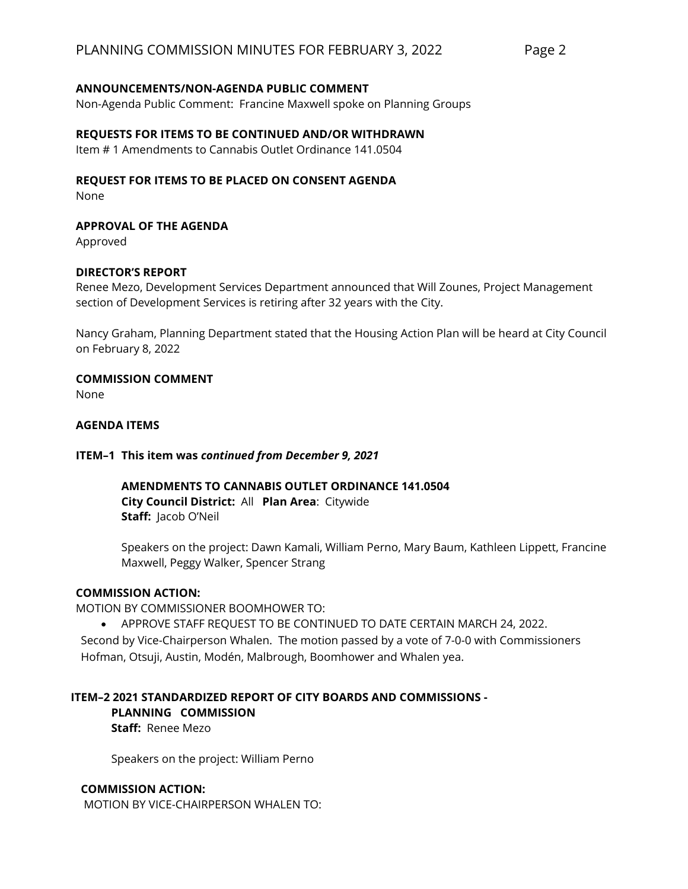## **ANNOUNCEMENTS/NON-AGENDA PUBLIC COMMENT**

Non-Agenda Public Comment: Francine Maxwell spoke on Planning Groups

## **REQUESTS FOR ITEMS TO BE CONTINUED AND/OR WITHDRAWN**

Item # 1 Amendments to Cannabis Outlet Ordinance 141.0504

## **REQUEST FOR ITEMS TO BE PLACED ON CONSENT AGENDA**

None

**APPROVAL OF THE AGENDA**

Approved

# **DIRECTOR'S REPORT**

Renee Mezo, Development Services Department announced that Will Zounes, Project Management section of Development Services is retiring after 32 years with the City.

Nancy Graham, Planning Department stated that the Housing Action Plan will be heard at City Council on February 8, 2022

**COMMISSION COMMENT**

None

## **AGENDA ITEMS**

## **ITEM–1 This item was** *continued from December 9, 2021*

**AMENDMENTS TO CANNABIS OUTLET ORDINANCE 141.0504 City Council District:** All **Plan Area**: Citywide **Staff:** Jacob O'Neil

Speakers on the project: Dawn Kamali, William Perno, Mary Baum, Kathleen Lippett, Francine Maxwell, Peggy Walker, Spencer Strang

## **COMMISSION ACTION:**

MOTION BY COMMISSIONER BOOMHOWER TO:

• APPROVE STAFF REQUEST TO BE CONTINUED TO DATE CERTAIN MARCH 24, 2022. Second by Vice-Chairperson Whalen. The motion passed by a vote of 7-0-0 with Commissioners Hofman, Otsuji, Austin, Modén, Malbrough, Boomhower and Whalen yea.

# **ITEM–2 2021 STANDARDIZED REPORT OF CITY BOARDS AND COMMISSIONS -**

## **PLANNING COMMISSION**

**Staff:** Renee Mezo

Speakers on the project: William Perno

## **COMMISSION ACTION:**

MOTION BY VICE-CHAIRPERSON WHALEN TO: